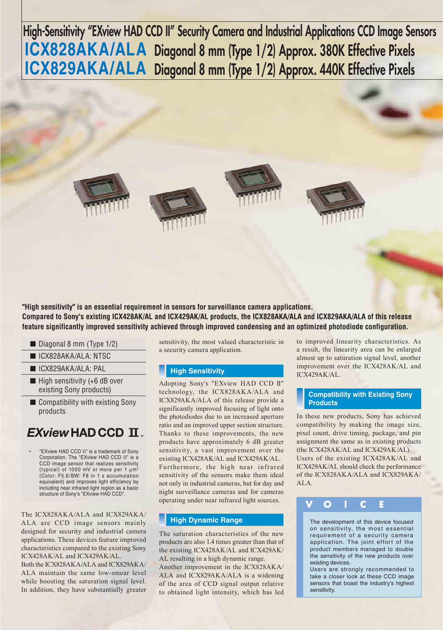**High-Sensitivity "EXview HAD CCD II" Security Camera and Industrial Applications CCD Image Sensors ICX828AKA/ALA Diagonal 8 mm (Type 1/2) Approx. 380K Effective Pixels ICX829AKA/ALA Diagonal 8 mm (Type 1/2) Approx. 440K Effective Pixels**



**"High sensitivity" is an essential requirement in sensors for surveillance camera applications. Compared to Sony's existing ICX428AK/AL and ICX429AK/AL products, the ICX828AKA/ALA and ICX829AKA/ALA of this release feature significantly improved sensitivity achieved through improved condensing and an optimized photodiode configuration.**

- Diagonal 8 mm (Type 1/2)
- ICX828AKA/ALA: NTSC
- ICX829AKA/ALA: PAL
- High sensitivity (+6 dB over existing Sony products)
- Compatibility with existing Sony products

# $EXview$ HADCCD  $\Pi$

∗ "EXview HAD CCD II" is a trademark of Sony Corporation. The "EXview HAD CCD II" is a CCD image sensor that realizes sensitivity (typical) of 1000 mV or more per 1 μm<sup>2</sup> (Color: F5.6/BW: F8 in 1 s accumulation equivalent) and improves light efficiency by including near infrared light region as a basic structure of Sony's "EXview HAD CCD".

The ICX828AKA/ALA and ICX829AKA/ ALA are CCD image sensors mainly designed for security and industrial camera applications. These devices feature improved characteristics compared to the existing Sony ICX428AK/AL and ICX429AK/AL.

Both the ICX828AKA/ALA and ICX829AKA/ ALA maintain the same low-smear level while boosting the saturation signal level. In addition, they have substantially greater

sensitivity, the most valued characteristic in a security camera application.

### **High Sensitivity**

Adopting Sony's "EXview HAD CCD II" technology, the ICX828AKA/ALA and ICX829AKA/ALA of this release provide a significantly improved focusing of light onto the photodiodes due to an increased aperture ratio and an improved upper section structure. Thanks to these improvements, the new products have approximately 6 dB greater sensitivity, a vast improvement over the existing ICX428AK/AL and ICX429AK/AL. Furthermore, the high near infrared sensitivity of the sensors make them ideal not only in industrial cameras, but for day and night surveillance cameras and for cameras operating under near infrared light sources.

#### **High Dynamic Range**

The saturation characteristics of the new products are also 1.4 times greater than that of the existing ICX428AK/AL and ICX429AK/ AL resulting in a high dynamic range.

Another improvement in the ICX828AKA/ ALA and ICX829AKA/ALA is a widening of the area of CCD signal output relative to obtained light intensity, which has led to improved linearity characteristics. As a result, the linearity area can be enlarged almost up to saturation signal level, another improvement over the ICX428AK/AL and ICX429AK/AL.

#### **Compatibility with Existing Sony Products**

In these new products, Sony has achieved compatibility by making the image size, pixel count, drive timing, package, and pin assignment the same as in existing products (the ICX428AK/AL and ICX429AK/AL). Users of the existing ICX428AK/AL and ICX429AK/AL should check the performance of the ICX828AKA/ALA and ICX829AKA/ ALA.

# E

The development of this device focused on sensitivity, the most essential requirement of a security camera application. The joint effort of the product members managed to double the sensitivity of the new products over existing devices.

Users are strongly recommended to take a closer look at these CCD image sensors that boast the industry's highest sensitivity.